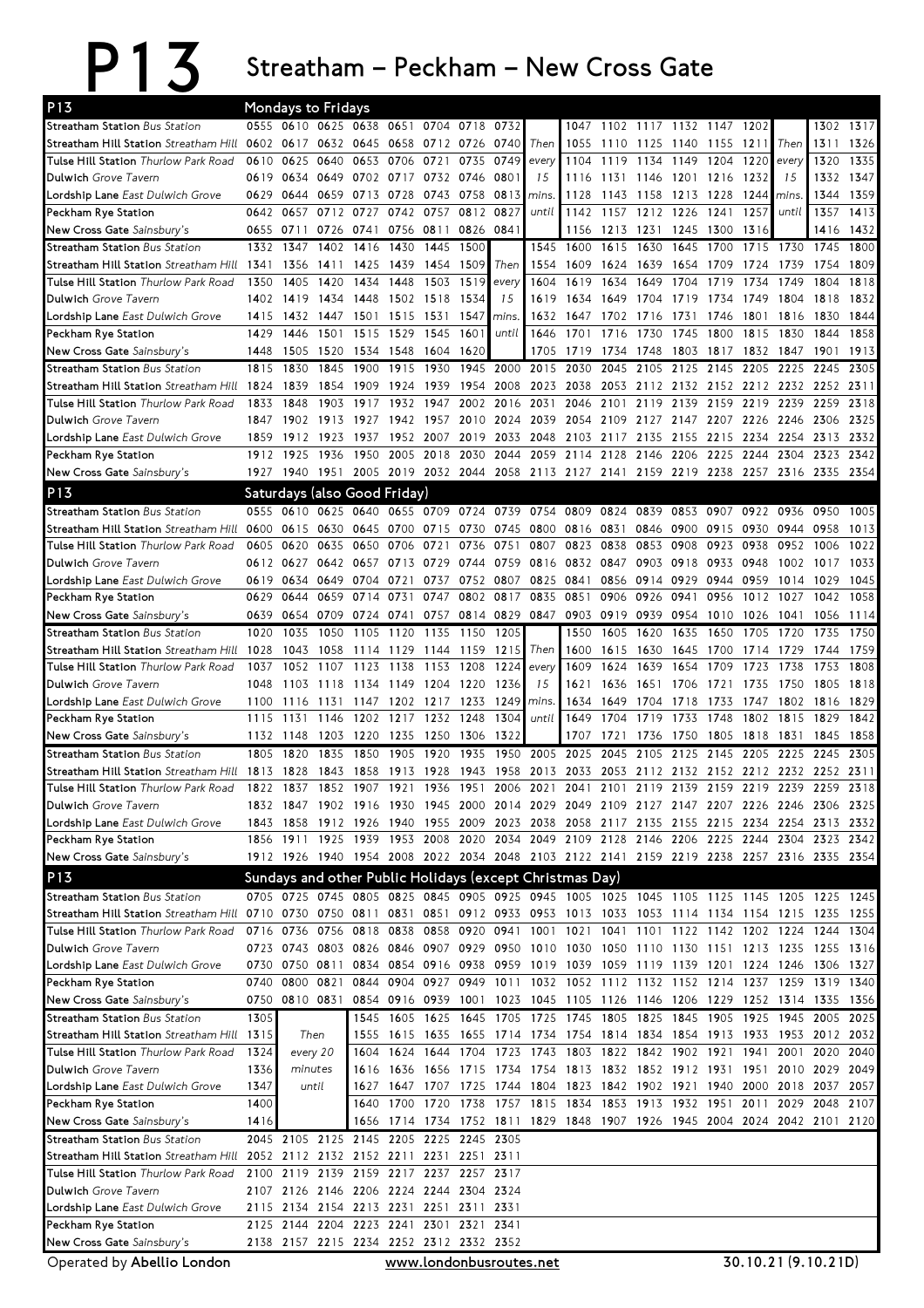## P13 Streatham – Peckham – New Cross Gate

| P <sub>13</sub>                                                                    |              | Mondays to Fridays                                                              |              |                          |              |                   |              |                                                                  |              |              |              |              |                |                        |              |              |                                                                                           |              |
|------------------------------------------------------------------------------------|--------------|---------------------------------------------------------------------------------|--------------|--------------------------|--------------|-------------------|--------------|------------------------------------------------------------------|--------------|--------------|--------------|--------------|----------------|------------------------|--------------|--------------|-------------------------------------------------------------------------------------------|--------------|
| Streatham Station Bus Station                                                      |              | 0555 0610 0625                                                                  |              | 0638                     | 0651         | 0704              | 0718         | 0732                                                             |              | 1047         | 1102         |              | 1117 1132 1147 |                        | 1202         |              | 1302                                                                                      | 1317         |
| Streatham Hill Station Streatham Hill                                              | 0602 0617    |                                                                                 |              | 0632 0645 0658 0712 0726 |              |                   |              | 0740                                                             | Then         | 1055         | 1110         | 1125         | 1140 1155      |                        | 1211         | Then         | 1311                                                                                      | 1326         |
| Tulse Hill Station Thurlow Park Road                                               | 0610         | 0625                                                                            | 0640         | 0653                     | 0706         | 0721              | 0735         | 0749                                                             | every        | 1104         | 1119         | 1134         | 1149           | 1204                   | 1220         | every        | 1320                                                                                      | 1335         |
| Dulwich Grove Tavern                                                               | 0619         | 0634 0649                                                                       |              | 0702 0717 0732 0746      |              |                   |              | 0801                                                             | 15           | 1116         |              | 1131 1146    | 1201 1216      |                        | 1232         | 15           | 1332                                                                                      | 1347         |
| Lordship Lane East Dulwich Grove                                                   | 0629         | 0644 0659                                                                       |              | 0713 0728                |              | 0743              | 0758         | 0813                                                             | mins.        | 1128         | 1143         | 1158         | 1213           | 1228                   | 1244         | mins.        | 1344                                                                                      | 1359         |
| Peckham Rye Station                                                                | 0642         | 0657                                                                            | 0712         | 0727                     | 0742         | 0757              | 0812         | 0827                                                             | until        | 1142         |              | 1157 1212    | 1226           | 1241                   | 1257         | until        | 1357                                                                                      | 1413         |
| New Cross Gate Sainsbury's<br>Streatham Station Bus Station                        | 0655<br>1332 | 0711<br>1347                                                                    | 0726<br>1402 | 0741<br>1416             | 0756<br>1430 | 0811<br>1445      | 0826<br>1500 | 0841                                                             | 1545         | 1156<br>1600 | 1213<br>1615 | 1231<br>1630 | 1245<br>1645   | 1300<br>1700           | 1316<br>1715 | 1730         | 1416<br>1745                                                                              | 1432<br>1800 |
| Streatham Hill Station Streatham Hill                                              | 1341         | 1356                                                                            | 1411         | 1425                     | 1439         | 1454              | 1509         | Then                                                             | 1554         | 1609         | 1624         | 1639         | 1654           | 1709                   | 1724         | 1739         | 1754                                                                                      | 1809         |
| Tulse Hill Station Thurlow Park Road                                               | 1350         | 1405                                                                            | 1420         | 1434                     | 1448         | 1503              | 1519         | every                                                            | 1604         | 1619         | 1634         | 1649         | 1704           | 1719                   | 1734         | 1749         | 1804                                                                                      | 1818         |
| Dulwich Grove Tavern                                                               | 1402         | 1419                                                                            | 1434         | 1448                     | 1502         | 1518              | 1534         | 15                                                               | 1619         | 1634         | 1649         | 1704         | 1719           | 1734                   | 1749         | 1804         | 1818                                                                                      | 1832         |
| Lordship Lane East Dulwich Grove                                                   | 1415         | 1432                                                                            | 1447         | 1501                     | 1515         | 1531              | 1547         | mins.                                                            | 1632         | 1647         | 1702         | 1716         | 1731           | 1746                   | 1801         | 1816         | 1830                                                                                      | 1844         |
| Peckham Rye Station                                                                | 1429         | 1446                                                                            | 1501         | 1515                     | 1529         | 1545              | 1601         | until                                                            | 1646         | 1701         | 1716         | 1730         | 1745           | 1800                   | 1815         | 1830         | 1844                                                                                      | 1858         |
| New Cross Gate Sainsbury's                                                         | 1448         | 1505                                                                            | 1520         | 1534                     | 1548         | 1604              | 1620         |                                                                  | 1705         | 1719         | 1734         | 1748         | 1803           | 1817                   | 1832         | 1847         | 1901                                                                                      | 1913         |
| Streatham Station Bus Station                                                      | 1815         | 1830                                                                            | 1845         | 1900                     | 1915         | 1930              | 1945         | 2000                                                             | 2015         | 2030         | 2045         | 2105         | 2125           | 2145                   | 2205         | 2225         | 2245                                                                                      | 2305         |
| Streatham Hill Station Streatham Hill                                              | 1824         | 1839                                                                            | 1854         | 1909                     | 1924         | 1939              | 1954         | 2008                                                             | 2023         | 2038         | 2053         | 2112         | 2132           | 2152                   | 2212 2232    |              | 2252                                                                                      | 2311         |
| Tulse Hill Station Thurlow Park Road                                               | 1833         | 1848                                                                            | 1903         | 1917                     | 1932         | 1947              | 2002         | 2016                                                             | 2031         | 2046         | 2101         | 2119         | 2139           | 2159                   | 2219         | 2239         | 2259                                                                                      | 2318         |
| <b>Dulwich Grove Tavern</b>                                                        | 1847         | 1902                                                                            | 1913         | 1927                     | 1942         | 1957              | 2010         | 2024                                                             | 2039         | 2054         | 2109         | 2127         | 2147           | 2207                   | 2226         | 2246         | 2306                                                                                      | 2325         |
| Lordship Lane East Dulwich Grove                                                   | 1859         | 1912                                                                            | 1923         | 1937                     | 1952         | 2007              | 2019         | 2033                                                             | 2048         | 2103         | 2117         | 2135         | 2155           | 2215                   | 2234         | 2254         | 2313                                                                                      | 2332         |
| Peckham Rye Station                                                                | 1912         | 1925                                                                            | 1936         | 1950                     | 2005         | 2018              | 2030         | 2044                                                             | 2059         | 2114         | 2128         | 2146         | 2206           | 2225                   | 2244         | 2304         | 2323                                                                                      | 2342         |
| New Cross Gate Sainsbury's                                                         |              | 1927 1940 1951                                                                  |              |                          |              |                   |              | 2005 2019 2032 2044 2058 2113 2127 2141 2159 2219 2238 2257 2316 |              |              |              |              |                |                        |              |              | 2335                                                                                      | 2354         |
| P <sub>13</sub>                                                                    |              | Saturdays (also Good Friday)                                                    |              |                          |              |                   |              |                                                                  |              |              |              |              |                |                        |              |              |                                                                                           |              |
| Streatham Station Bus Station                                                      | 0555         | 0610                                                                            | 0625         | 0640                     | 0655         | 0709 0724 0739    |              |                                                                  | 0754         | 0809         | 0824 0839    |              | 0853           | 0907                   | 0922 0936    |              | 0950                                                                                      | 1005         |
| Streatham Hill Station Streatham Hill<br>Tulse Hill Station Thurlow Park Road      | 0600<br>0605 | 0615<br>0620                                                                    | 0630<br>0635 | 0645<br>0650             | 0700<br>0706 | 0715<br>0721      | 0730<br>0736 | 0745<br>0751                                                     | 0800<br>0807 | 0816<br>0823 | 0831<br>0838 | 0846<br>0853 | 0900<br>0908   | 0915<br>0923           | 0930<br>0938 | 0944<br>0952 | 0958<br>1006                                                                              | 1013<br>1022 |
| Dulwich Grove Tavern                                                               |              | 0612 0627                                                                       | 0642         | 0657                     | 0713         | 0729              | 0744         | 0759                                                             | 0816         | 0832         | 0847         | 0903         | 0918           | 0933                   | 0948         | 1002         | 1017                                                                                      | 1033         |
| Lordship Lane East Dulwich Grove                                                   | 0619         | 0634                                                                            | 0649         | 0704                     | 0721         | 0737              | 0752         | 0807                                                             | 0825         | 0841         | 0856         | 0914         | 0929           | 0944                   | 0959         | 1014         | 1029                                                                                      | 1045         |
| Peckham Rye Station                                                                | 0629         | 0644                                                                            | 0659         | 0714                     | 0731         | 0747              | 0802         | 0817                                                             | 0835         | 0851         | 0906         | 0926         | 0941           | 0956                   | 1012         | 1027         | 1042                                                                                      | 1058         |
| New Cross Gate Sainsbury's                                                         | 0639         | 0654                                                                            | 0709         | 0724                     | 0741         | 0757              |              | 0814 0829                                                        | 0847         | 0903         | 0919         | 0939         | 0954           | 1010                   | 1026         | 1041         | 1056                                                                                      | 1114         |
| Streatham Station Bus Station                                                      | 1020         | 1035                                                                            | 1050         | 1105                     | 1120         | 1135              | 1150         | 1205                                                             |              | 1550         | 1605         | 1620         | 1635           | 1650                   | 1705         | 1720         | 1735                                                                                      | 1750         |
| Streatham Hill Station Streatham Hill                                              | 1028         | 1043                                                                            | 1058         | 1114                     | 1129         | 1144              | 1159         | 1215                                                             | Then         | 1600         | 1615         | 1630         | 1645           | 1700                   | 1714         | 1729         | 1744                                                                                      | 1759         |
| Tulse Hill Station Thurlow Park Road                                               | 1037         | 1052                                                                            | 1107         | 1123                     | 1138         | 1153              | 1208         | 1224                                                             | every        | 1609         | 1624         | 1639         | 1654           | 1709                   | 1723         | 1738         | 1753                                                                                      | 1808         |
| Dulwich Grove Tavern                                                               | 1048         | 1103                                                                            | 1118         | 1134                     | 1149         | 1204              | 1220         | 1236                                                             | 15           | 1621         | 1636         | 1651         | 1706           | 1721                   | 1735         | 1750         | 1805                                                                                      | 1818         |
| Lordship Lane East Dulwich Grove                                                   | 1100         | 1116                                                                            | 1131         | 1147                     | 1202         | 1217              | 1233         | 1249                                                             | mins.        | 1634         | 1649         | 1704         | 1718           | 1733                   | 1747         | 1802         | 1816                                                                                      | 1829         |
| Peckham Rye Station                                                                | 1115         | 1131                                                                            | 1146         | 1202                     | 1217         | 1232              | 1248         | 1304                                                             | until        | 1649         | 1704         | 1719         | 1733           | 1748                   | 1802         | 1815         | 1829                                                                                      | 1842         |
| New Cross Gate Sainsbury's                                                         | 1132         | 1148                                                                            | 1203         | 1220                     | 1235         | 1250              | 1306         | 1322                                                             |              | 1707         | 1721         | 1736         | 1750           | 1805                   | 1818         | 1831         | 1845                                                                                      | 1858         |
| Streatham Station Bus Station<br><b>Streatham Hill Station</b> Streatham Hill 1813 | 1805         | 1820<br>1828                                                                    | 1835<br>1843 | 1850<br>1858             | 1905         | 1920<br>1913 1928 | 1935<br>1943 | 1950<br>1958                                                     | 2005<br>2013 | 2025<br>2033 | 2045<br>2053 | 2105<br>2112 | 2125<br>2132   | 2145<br>2152 2212 2232 | 2205         | 2225         | 2245<br>2252                                                                              | 2305<br>2311 |
| Tulse Hill Station Thurlow Park Road                                               | 1822         | 1837                                                                            | 1852         | 1907                     | 1921         | 1936              | 1951         |                                                                  | 2006 2021    | 2041 2101    |              | 2119         | 2139           | 2159 2219 2239         |              |              | 2259                                                                                      | 2318         |
| Dulwich Grove Tavern                                                               |              |                                                                                 |              |                          |              |                   |              |                                                                  |              |              |              |              |                |                        |              |              | 1832 1847 1902 1916 1930 1945 2000 2014 2029 2049 2109 2127 2147 2207 2226 2246 2306 2325 |              |
| Lordship Lane East Dulwich Grove                                                   |              | 1843 1858                                                                       |              | 1912 1926                | 1940         | 1955              |              | 2009 2023 2038 2058 2117 2135 2155 2215 2234 2254                |              |              |              |              |                |                        |              |              | 2313 2332                                                                                 |              |
| Peckham Rye Station                                                                |              |                                                                                 |              |                          |              |                   |              |                                                                  |              |              |              |              |                |                        |              |              | 1856 1911 1925 1939 1953 2008 2020 2034 2049 2109 2128 2146 2206 2225 2244 2304 2323 2342 |              |
| New Cross Gate Sainsbury's                                                         |              |                                                                                 |              |                          |              |                   |              |                                                                  |              |              |              |              |                |                        |              |              | 1912 1926 1940 1954 2008 2022 2034 2048 2103 2122 2141 2159 2219 2238 2257 2316 2335 2354 |              |
| P <sub>13</sub>                                                                    |              | Sundays and other Public Holidays (except Christmas Day)                        |              |                          |              |                   |              |                                                                  |              |              |              |              |                |                        |              |              |                                                                                           |              |
| Streatham Station Bus Station                                                      |              |                                                                                 |              |                          |              |                   |              |                                                                  |              |              |              |              |                |                        |              |              | 0705 0725 0745 0805 0825 0845 0905 0925 0945 1005 1025 1045 1105 1125 1145 1205 1225 1245 |              |
| Streatham Hill Station Streatham Hill                                              |              | 0710 0730 0750 0811 0831 0851 0912 0933 0953 1013 1033 1053 1114 1134 1154 1215 |              |                          |              |                   |              |                                                                  |              |              |              |              |                |                        |              |              | 1235 1255                                                                                 |              |
| Tulse Hill Station Thurlow Park Road                                               |              | 0716 0736 0756                                                                  |              |                          |              |                   |              |                                                                  |              |              |              |              |                |                        |              |              | 0818 0838 0858 0920 0941 1001 1021 1041 1101 1122 1142 1202 1224 1244 1304                |              |
| Dulwich Grove Tavern                                                               |              |                                                                                 |              |                          |              |                   |              |                                                                  |              |              |              |              |                |                        |              |              | 0723 0743 0803 0826 0846 0907 0929 0950 1010 1030 1050 1110 1130 1151 1213 1235 1255 1316 |              |
| Lordship Lane East Dulwich Grove                                                   |              | 0730 0750 0811                                                                  |              |                          |              |                   |              |                                                                  |              |              |              |              |                |                        |              |              | 0834 0854 0916 0938 0959 1019 1039 1059 1119 1139 1201 1224 1246 1306 1327                |              |
| Peckham Rye Station                                                                |              | 0740 0800 0821                                                                  |              |                          |              |                   |              |                                                                  |              |              |              |              |                |                        |              |              | 0844 0904 0927 0949 1011 1032 1052 1112 1132 1152 1214 1237 1259 1319 1340                |              |
| New Cross Gate Sainsbury's                                                         |              | 0750 0810 0831                                                                  |              |                          |              |                   |              |                                                                  |              |              |              |              |                |                        |              |              | 0854 0916 0939 1001 1023 1045 1105 1126 1146 1206 1229 1252 1314 1335 1356                |              |
| Streatham Station Bus Station                                                      | 1305         |                                                                                 |              |                          |              |                   |              | 1545 1605 1625 1645 1705 1725 1745 1805 1825 1845 1905 1925 1945 |              |              |              |              |                |                        |              |              | 2005 2025                                                                                 |              |
| Streatham Hill Station Streatham Hill<br>Tulse Hill Station Thurlow Park Road      | 1315<br>1324 | Then<br>every 20                                                                |              | 1555<br>1604             |              |                   |              | 1624 1644 1704 1723 1743 1803 1822 1842 1902 1921                |              |              |              |              |                |                        | 1941 2001    |              | 1615 1635 1655 1714 1734 1754 1814 1834 1854 1913 1933 1953 2012 2032<br>2020 2040        |              |
| Dulwich Grove Tavern                                                               | 1336         | minutes                                                                         |              |                          |              |                   |              |                                                                  |              |              |              |              |                |                        |              |              | 1616 1636 1656 1715 1734 1754 1813 1832 1852 1912 1931 1951 2010 2029 2049                |              |
| <b>Lordship Lane</b> East Dulwich Grove                                            | 1347         | until                                                                           |              |                          |              |                   |              |                                                                  |              |              |              |              |                |                        |              |              | 1627 1647 1707 1725 1744 1804 1823 1842 1902 1921 1940 2000 2018 2037 2057                |              |
| Peckham Rye Station                                                                | 1400         |                                                                                 |              | 1640                     |              |                   |              | 1700 1720 1738 1757 1815 1834 1853 1913 1932 1951 2011 2029 2048 |              |              |              |              |                |                        |              |              |                                                                                           | 2107         |
| New Cross Gate Sainsbury's                                                         | 1416         |                                                                                 |              |                          |              |                   |              |                                                                  |              |              |              |              |                |                        |              |              | 1656 1714 1734 1752 1811 1829 1848 1907 1926 1945 2004 2024 2042 2101 2120                |              |
| Streatham Station Bus Station                                                      |              | 2045 2105 2125 2145 2205 2225 2245 2305                                         |              |                          |              |                   |              |                                                                  |              |              |              |              |                |                        |              |              |                                                                                           |              |
| Streatham Hill Station Streatham Hill                                              |              | 2052 2112 2132 2152 2211 2231 2251 2311                                         |              |                          |              |                   |              |                                                                  |              |              |              |              |                |                        |              |              |                                                                                           |              |
| Tulse Hill Station Thurlow Park Road                                               |              | 2100 2119 2139 2159 2217 2237 2257                                              |              |                          |              |                   |              | 2317                                                             |              |              |              |              |                |                        |              |              |                                                                                           |              |
| Dulwich Grove Tavern                                                               |              | 2107 2126 2146 2206 2224 2244 2304 2324                                         |              |                          |              |                   |              |                                                                  |              |              |              |              |                |                        |              |              |                                                                                           |              |
| Lordship Lane East Dulwich Grove                                                   |              | 2115 2134 2154 2213 2231 2251 2311 2331                                         |              |                          |              |                   |              |                                                                  |              |              |              |              |                |                        |              |              |                                                                                           |              |
| Peckham Rye Station                                                                |              | 2125 2144 2204 2223 2241 2301 2321 2341                                         |              |                          |              |                   |              |                                                                  |              |              |              |              |                |                        |              |              |                                                                                           |              |
| New Cross Gate Sainsbury's                                                         |              | 2138 2157 2215 2234 2252 2312 2332 2352                                         |              |                          |              |                   |              |                                                                  |              |              |              |              |                |                        |              |              |                                                                                           |              |

Operated by Abellio London **www.londonbusroutes.net** 30.10.21(9.10.21D)